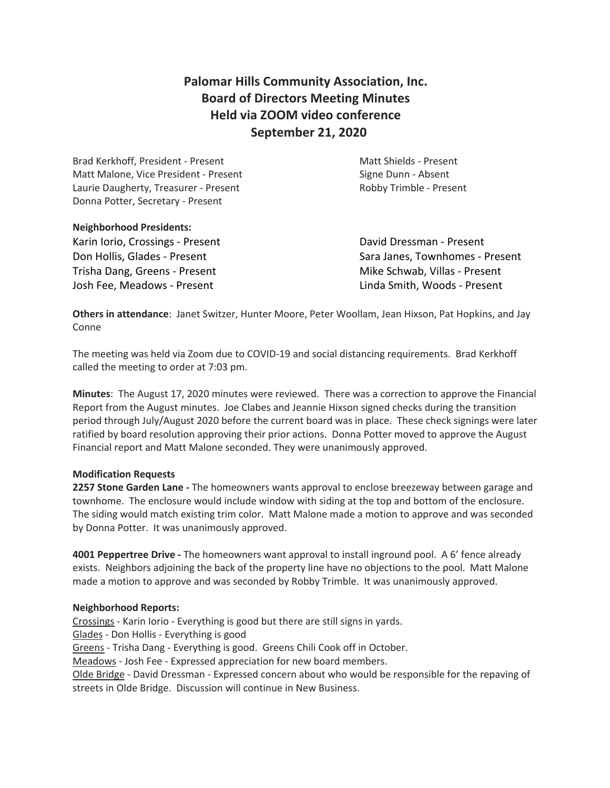# **Palomar Hills Community Association, Inc. Board of Directors Meeting Minutes Held via ZOOM video conference September 21, 2020**

Brad Kerkhoff, President - Present Matt Shields - Present Matt Malone, Vice President - Present Signe Dunn - Absent Laurie Daugherty, Treasurer - Present Theorem 2012 Robby Trimble - Present Donna Potter, Secretary - Present

# **Neighborhood Presidents:**

Karin Iorio, Crossings - Present **David Dressman - Present** Trisha Dang, Greens - Present **Mike Schwab, Villas - Present** Josh Fee, Meadows - Present Linda Smith, Woods - Present

Don Hollis, Glades - Present Sara Janes, Townhomes - Present

**Others in attendance**: Janet Switzer, Hunter Moore, Peter Woollam, Jean Hixson, Pat Hopkins, and Jay Conne

The meeting was held via Zoom due to COVID-19 and social distancing requirements. Brad Kerkhoff called the meeting to order at 7:03 pm.

**Minutes**: The August 17, 2020 minutes were reviewed. There was a correction to approve the Financial Report from the August minutes. Joe Clabes and Jeannie Hixson signed checks during the transition period through July/August 2020 before the current board was in place. These check signings were later ratified by board resolution approving their prior actions. Donna Potter moved to approve the August Financial report and Matt Malone seconded. They were unanimously approved.

## **Modification Requests**

**2257 Stone Garden Lane -** The homeowners wants approval to enclose breezeway between garage and townhome. The enclosure would include window with siding at the top and bottom of the enclosure. The siding would match existing trim color. Matt Malone made a motion to approve and was seconded by Donna Potter. It was unanimously approved.

**4001 Peppertree Drive -** The homeowners want approval to install inground pool. A 6' fence already exists. Neighbors adjoining the back of the property line have no objections to the pool. Matt Malone made a motion to approve and was seconded by Robby Trimble. It was unanimously approved.

## **Neighborhood Reports:**

Crossings - Karin Iorio - Everything is good but there are still signs in yards. Glades - Don Hollis - Everything is good Greens - Trisha Dang - Everything is good. Greens Chili Cook off in October. Meadows - Josh Fee - Expressed appreciation for new board members. Olde Bridge - David Dressman - Expressed concern about who would be responsible for the repaving of streets in Olde Bridge. Discussion will continue in New Business.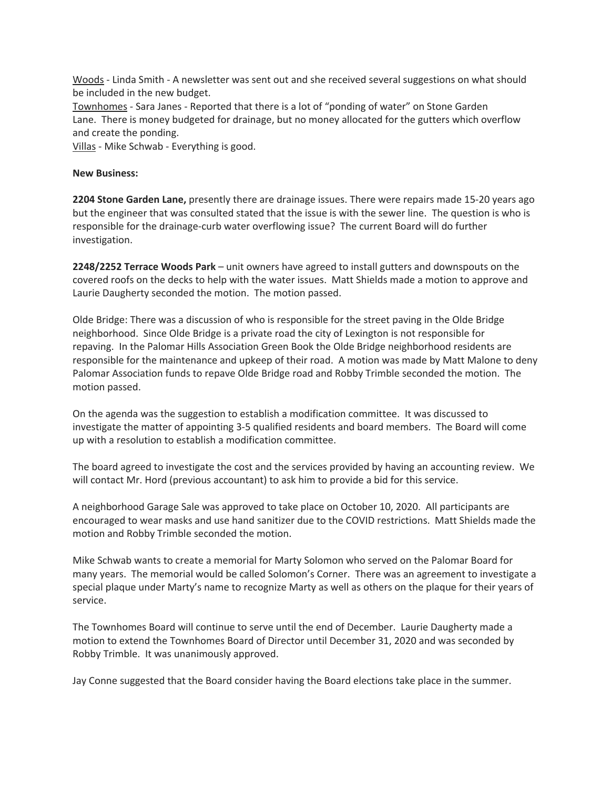Woods - Linda Smith - A newsletter was sent out and she received several suggestions on what should be included in the new budget.

Townhomes - Sara Janes - Reported that there is a lot of "ponding of water" on Stone Garden Lane. There is money budgeted for drainage, but no money allocated for the gutters which overflow and create the ponding.

Villas - Mike Schwab - Everything is good.

#### **New Business:**

**2204 Stone Garden Lane,** presently there are drainage issues. There were repairs made 15-20 years ago but the engineer that was consulted stated that the issue is with the sewer line. The question is who is responsible for the drainage-curb water overflowing issue? The current Board will do further investigation.

**2248/2252 Terrace Woods Park** – unit owners have agreed to install gutters and downspouts on the covered roofs on the decks to help with the water issues. Matt Shields made a motion to approve and Laurie Daugherty seconded the motion. The motion passed.

Olde Bridge: There was a discussion of who is responsible for the street paving in the Olde Bridge neighborhood. Since Olde Bridge is a private road the city of Lexington is not responsible for repaving. In the Palomar Hills Association Green Book the Olde Bridge neighborhood residents are responsible for the maintenance and upkeep of their road. A motion was made by Matt Malone to deny Palomar Association funds to repave Olde Bridge road and Robby Trimble seconded the motion. The motion passed.

On the agenda was the suggestion to establish a modification committee. It was discussed to investigate the matter of appointing 3-5 qualified residents and board members. The Board will come up with a resolution to establish a modification committee.

The board agreed to investigate the cost and the services provided by having an accounting review. We will contact Mr. Hord (previous accountant) to ask him to provide a bid for this service.

A neighborhood Garage Sale was approved to take place on October 10, 2020. All participants are encouraged to wear masks and use hand sanitizer due to the COVID restrictions. Matt Shields made the motion and Robby Trimble seconded the motion.

Mike Schwab wants to create a memorial for Marty Solomon who served on the Palomar Board for many years. The memorial would be called Solomon's Corner. There was an agreement to investigate a special plaque under Marty's name to recognize Marty as well as others on the plaque for their years of service.

The Townhomes Board will continue to serve until the end of December. Laurie Daugherty made a motion to extend the Townhomes Board of Director until December 31, 2020 and was seconded by Robby Trimble. It was unanimously approved.

Jay Conne suggested that the Board consider having the Board elections take place in the summer.